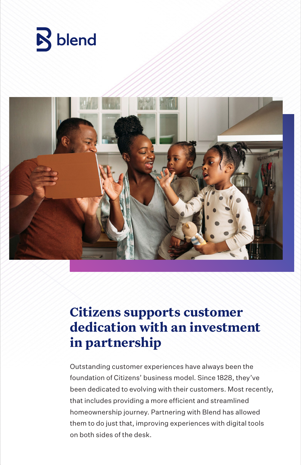



# **Citizens supports customer dedication with an investment in partnership**

Outstanding customer experiences have always been the foundation of Citizens' business model. Since 1828, they've been dedicated to evolving with their customers. Most recently, that includes providing a more efficient and streamlined homeownership journey. Partnering with Blend has allowed them to do just that, improving experiences with digital tools on both sides of the desk.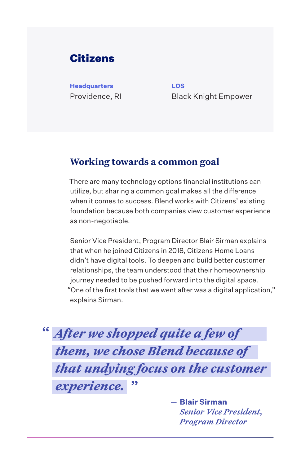# Citizens

**Headquarters LOS**

Providence, RI Black Knight Empower

#### **Working towards a common goal**

There are many technology options financial institutions can utilize, but sharing a common goal makes all the difference when it comes to success. Blend works with Citizens' existing foundation because both companies view customer experience as non-negotiable.

Senior Vice President, Program Director Blair Sirman explains that when he joined Citizens in 2018, Citizens Home Loans didn't have digital tools. To deepen and build better customer relationships, the team understood that their homeownership journey needed to be pushed forward into the digital space. "One of the first tools that we went after was a digital application," explains Sirman.

*After we shopped quite a few of*  **"** *them, we chose Blend because of that undying focus on the customer*   $ext{ex}_{\text{perience}}$ .

> **Blair Sirman** *Senior Vice President, Program Director*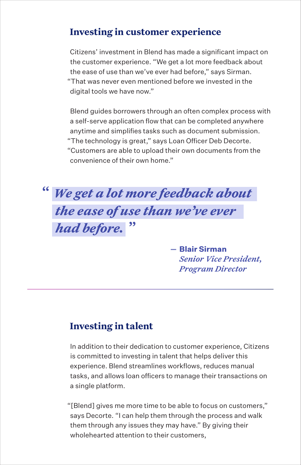## **Investing in customer experience**

Citizens' investment in Blend has made a significant impact on the customer experience. "We get a lot more feedback about the ease of use than we've ever had before," says Sirman. "That was never even mentioned before we invested in the digital tools we have now."

Blend guides borrowers through an often complex process with a self-serve application flow that can be completed anywhere anytime and simplifies tasks such as document submission. "The technology is great," says Loan Officer Deb Decorte. "Customers are able to upload their own documents from the convenience of their own home."



**Blair Sirman** *Senior Vice President, Program Director*

## **Investing in talent**

In addition to their dedication to customer experience, Citizens is committed to investing in talent that helps deliver this experience. Blend streamlines workflows, reduces manual tasks, and allows loan officers to manage their transactions on a single platform.

"[Blend] gives me more time to be able to focus on customers," says Decorte. "I can help them through the process and walk them through any issues they may have." By giving their wholehearted attention to their customers,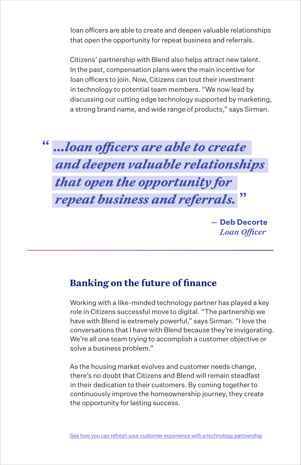loan officers are able to create and deepen valuable relationships that open the opportunity for repeat business and referrals.

Citizens' partnership with Blend also helps attract new talent. In the past, compensation plans were the main incentive for loan officers to join. Now, Citizens can tout their investment in technology to potential team members. "We now lead by discussing our cutting edge technology supported by marketing, a strong brand name, and wide range of products," says Sirman.



**- Deb Decorte** *Loan Officer* 

#### **Banking on the future of finance**

Working with a like-minded technology partner has played a key role in Citizens successful move to digital. "The partnership we have with Blend is extremely powerful," says Sirman. "I love the conversations that I have with Blend because they're invigorating. We're all one team trying to accomplish a customer objective or solve a business problem."

As the housing market evolves and customer needs change, there's no doubt that Citizens and Blend will remain steadfast in their dedication to their customers. By coming together to continuously improve the homeownership journey, they create the opportunity for lasting success.